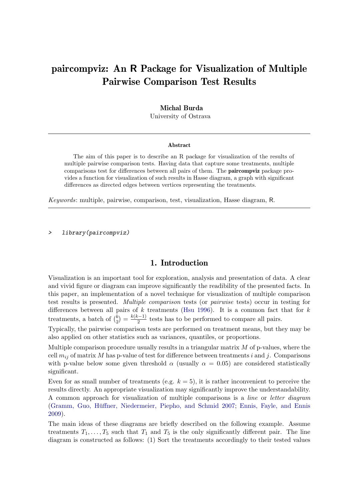# paircompviz: An R Package for Visualization of Multiple Pairwise Comparison Test Results

#### Michal Burda

University of Ostrava

#### Abstract

The aim of this paper is to describe an R package for visualization of the results of multiple pairwise comparison tests. Having data that capture some treatments, multiple comparisons test for differences between all pairs of them. The paircompviz package provides a function for visualization of such results in Hasse diagram, a graph with significant differences as directed edges between vertices representing the treatments.

Keywords: multiple, pairwise, comparison, test, visualization, Hasse diagram, R.

> library(paircompviz)

### 1. Introduction

<span id="page-0-0"></span>Visualization is an important tool for exploration, analysis and presentation of data. A clear and vivid figure or diagram can improve significantly the readibility of the presented facts. In this paper, an implementation of a novel technique for visualization of multiple comparison test results is presented. Multiple comparison tests (or pairwise tests) occur in testing for differences between all pairs of  $k$  treatments [\(Hsu](#page-11-0) [1996\)](#page-11-0). It is a common fact that for  $k$ treatments, a batch of  $\binom{k}{2}$  $\binom{k}{2} = \frac{k(k-1)}{2}$  $\frac{z-1}{2}$  tests has to be performed to compare all pairs.

Typically, the pairwise comparison tests are performed on treatment means, but they may be also applied on other statistics such as variances, quantiles, or proportions.

Multiple comparison procedure usually results in a triangular matrix  $M$  of p-values, where the cell  $m_{ij}$  of matrix M has p-value of test for difference between treatments i and j. Comparisons with p-value below some given threshold  $\alpha$  (usually  $\alpha = 0.05$ ) are considered statistically significant.

Even for as small number of treatments (e.g.  $k = 5$ ), it is rather inconvenient to perceive the results directly. An appropriate visualization may significantly improve the understandability. A common approach for visualization of multiple comparisons is a line or letter diagram (Gramm, Guo, Hüffner, Niedermeier, Piepho, and Schmid [2007;](#page-11-1) [Ennis, Fayle, and Ennis](#page-11-2) [2009\)](#page-11-2).

The main ideas of these diagrams are briefly described on the following example. Assume treatments  $T_1, \ldots, T_5$  such that  $T_1$  and  $T_5$  is the only significantly different pair. The line diagram is constructed as follows: (1) Sort the treatments accordingly to their tested values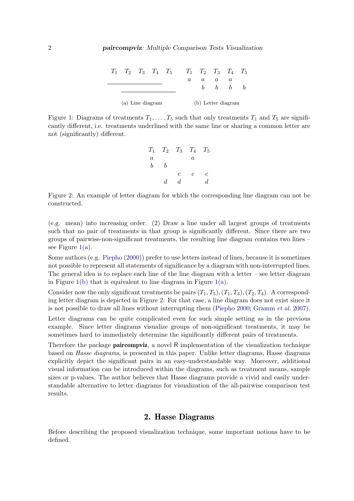<span id="page-1-1"></span>

|                  |  |  |  |                    | $T_1$ $T_2$ $T_3$ $T_4$ $T_5$ $T_1$ $T_2$ $T_3$ $T_4$ $T_5$ |   |          |  |  |
|------------------|--|--|--|--------------------|-------------------------------------------------------------|---|----------|--|--|
|                  |  |  |  |                    | $a_{-}$                                                     | a | $\alpha$ |  |  |
|                  |  |  |  |                    |                                                             |   | b        |  |  |
|                  |  |  |  |                    |                                                             |   |          |  |  |
| (a) Line diagram |  |  |  | (b) Letter diagram |                                                             |   |          |  |  |

<span id="page-1-0"></span>Figure 1: Diagrams of treatments  $T_1, \ldots, T_5$  such that only treatments  $T_1$  and  $T_5$  are significantly different, i.e. treatments underlined with the same line or sharing a common letter are not (significantly) different.

|                  |    |    | $T_1$ $T_2$ $T_3$ $T_4$ $T_5$ |                |
|------------------|----|----|-------------------------------|----------------|
| $\boldsymbol{a}$ |    |    | $\it a$                       |                |
| b                | h  |    |                               |                |
|                  |    | С  | С                             | с              |
|                  | d. | d, |                               | $\overline{d}$ |

<span id="page-1-2"></span>Figure 2: An example of letter diagram for which the corresponding line diagram can not be constructed.

(e.g. mean) into increasing order. (2) Draw a line under all largest groups of treatments such that no pair of treatments in that group is significantly different. Since there are two groups of pairwise-non-significant treatments, the resulting line diagram contains two lines – see Figure  $1(a)$ .

Some authors (e.g. [Piepho](#page-11-3) [\(2000\)](#page-11-3)) prefer to use letters instead of lines, because it is sometimes not possible to represent all statements of significance by a diagram with non-interrupted lines. The general idea is to replace each line of the line diagram with a letter – see letter diagram in Figure [1\(b\)](#page-1-1) that is equivalent to line diagram in Figure [1\(a\).](#page-1-0)

Consider now the only significant treatments be pairs  $(T_1, T_5), (T_1, T_3), (T_2, T_4)$ . A corresponding letter diagram is depicted in Figure [2.](#page-1-2) For that case, a line diagram does not exist since it is not possible to draw all lines without interrupting them [\(Piepho](#page-11-3) [2000;](#page-11-3) [Gramm](#page-11-1) et al. [2007\)](#page-11-1).

Letter diagrams can be quite complicated even for such simple setting as in the previous example. Since letter diagrams visualize groups of non-significant treatments, it may be sometimes hard to immediately determine the significantly different pairs of treatments.

Therefore the package **paircompviz**, a novel R implementation of the visualization technique based on Hasse diagrams, is presented in this paper. Unlike letter diagrams, Hasse diagrams explicitly depict the significant pairs in an easy-understandable way. Moreover, additional visual information can be introduced within the diagrams, such as treatment means, sample sizes or p-values. The author believes that Hasse diagrams provide a vivid and easily understandable alternative to letter diagrams for visualization of the all-pairwise comparison test results.

### 2. Hasse Diagrams

<span id="page-1-3"></span>Before describing the proposed visualization technique, some important notions have to be defined.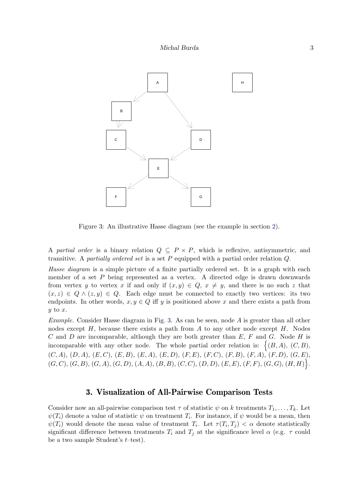

<span id="page-2-0"></span>Figure 3: An illustrative Hasse diagram (see the example in section [2\)](#page-1-3).

A partial order is a binary relation  $Q \subseteq P \times P$ , which is reflexive, antisymmetric, and transitive. A partially ordered set is a set  $P$  equipped with a partial order relation  $Q$ .

Hasse diagram is a simple picture of a finite partially ordered set. It is a graph with each member of a set P being represented as a vertex. A directed edge is drawn downwards from vertex y to vertex x if and only if  $(x, y) \in Q$ ,  $x \neq y$ , and there is no such z that  $(x, z) \in Q \wedge (z, y) \in Q$ . Each edge must be connected to exactly two vertices: its two endpoints. In other words,  $x, y \in Q$  iff y is positioned above x and there exists a path from  $y$  to  $x$ .

*Example.* Consider Hasse diagram in Fig. [3.](#page-2-0) As can be seen, node  $\vec{A}$  is greater than all other nodes except  $H$ , because there exists a path from  $A$  to any other node except  $H$ . Nodes C and D are incomparable, although they are both greater than  $E$ ,  $F$  and  $G$ . Node  $H$  is incomparable with any other node. The whole partial order relation is:  $\{(B, A), (C, B),\}$  $(C, A), (D, A), (E, C), (E, B), (E, A), (E, D), (F, E), (F, C), (F, B), (F, A), (F, D), (G, E),$  $(G, C), (G, B), (G, A), (G, D), (A, A), (B, B), (C, C), (D, D), (E, E), (F, F), (G, G), (H, H)$ .

### 3. Visualization of All-Pairwise Comparison Tests

<span id="page-2-1"></span>Consider now an all-pairwise comparison test  $\tau$  of statistic  $\psi$  on k treatments  $T_1, \ldots, T_k$ . Let  $\psi(T_i)$  denote a value of statistic  $\psi$  on treatment  $T_i$ . For instance, if  $\psi$  would be a mean, then  $\psi(T_i)$  would denote the mean value of treatment  $T_i$ . Let  $\tau(T_i, T_j) < \alpha$  denote statistically significant difference between treatments  $T_i$  and  $T_j$  at the significance level  $\alpha$  (e.g.  $\tau$  could be a two sample Student's  $t$ –test).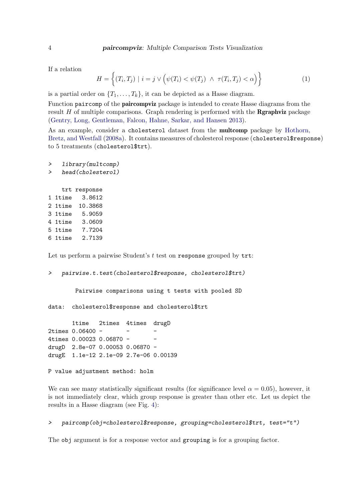If a relation

<span id="page-3-0"></span>
$$
H = \left\{ (T_i, T_j) \mid i = j \lor \left( \psi(T_i) < \psi(T_j) \land \tau(T_i, T_j) < \alpha \right) \right\} \tag{1}
$$

is a partial order on  $\{T_1, \ldots, T_k\}$ , it can be depicted as a Hasse diagram.

Function paircomp of the paircompviz package is intended to create Hasse diagrams from the result  $H$  of multiple comparisons. Graph rendering is performed with the **Rgraphviz** package [\(Gentry, Long, Gentleman, Falcon, Hahne, Sarkar, and Hansen](#page-11-4) [2013\)](#page-11-4).

As an example, consider a cholesterol dataset from the multcomp package by [Hothorn,](#page-11-5) [Bretz, and Westfall](#page-11-5) [\(2008a\)](#page-11-5). It contains measures of cholesterol response (cholesterol\$response) to 5 treatments (cholesterol\$trt).

```
> library(multcomp)
> head(cholesterol)
   trt response
1 1time 3.8612
2 1time 10.3868
3 1time 5.9059
4 1time 3.0609
5 1time 7.7204
6 1time 2.7139
```
Let us perform a pairwise Student's  $t$  test on response grouped by  $\text{trt}:$ 

```
> pairwise.t.test(cholesterol$response, cholesterol$trt)
```
Pairwise comparisons using t tests with pooled SD

data: cholesterol\$response and cholesterol\$trt

1time 2times 4times drugD 2times 0.06400 -4times 0.00023 0.06870 - drugD 2.8e-07 0.00053 0.06870 drugE 1.1e-12 2.1e-09 2.7e-06 0.00139

P value adjustment method: holm

We can see many statistically significant results (for significance level  $\alpha = 0.05$ ), however, it is not immediately clear, which group response is greater than other etc. Let us depict the results in a Hasse diagram (see Fig. [4\)](#page-4-0):

#### > paircomp(obj=cholesterol\$response, grouping=cholesterol\$trt, test="t")

The obj argument is for a response vector and grouping is for a grouping factor.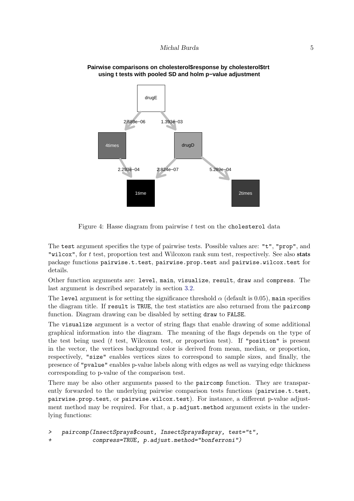

#### **Pairwise comparisons on cholesterol\$response by cholesterol\$trt using t tests with pooled SD and holm p−value adjustment**

<span id="page-4-0"></span>Figure 4: Hasse diagram from pairwise t test on the cholesterol data

The test argument specifies the type of pairwise tests. Possible values are: "t", "prop", and "wilcox", for t test, proportion test and Wilcoxon rank sum test, respectively. See also stats package functions pairwise.t.test, pairwise.prop.test and pairwise.wilcox.test for details.

Other function arguments are: level, main, visualize, result, draw and compress. The last argument is described separately in section [3.2.](#page-5-0)

The level argument is for setting the significance threshold  $\alpha$  (default is 0.05), main specifies the diagram title. If result is TRUE, the test statistics are also returned from the paircomp function. Diagram drawing can be disabled by setting draw to FALSE.

The visualize argument is a vector of string flags that enable drawing of some additional graphical information into the diagram. The meaning of the flags depends on the type of the test being used ( $t$  test, Wilcoxon test, or proportion test). If "position" is present in the vector, the vertices background color is derived from mean, median, or proportion, respectively, "size" enables vertices sizes to correspond to sample sizes, and finally, the presence of "pvalue" enables p-value labels along with edges as well as varying edge thickness corresponding to p-value of the comparison test.

There may be also other arguments passed to the paircomp function. They are transparently forwarded to the underlying pairwise comparison tests functions (pairwise.t.test, pairwise.prop.test, or pairwise.wilcox.test). For instance, a different p-value adjustment method may be required. For that, a p. adjust.method argument exists in the underlying functions:

```
> paircomp(InsectSprays$count, InsectSprays$spray, test="t",
             + compress=TRUE, p.adjust.method="bonferroni")
```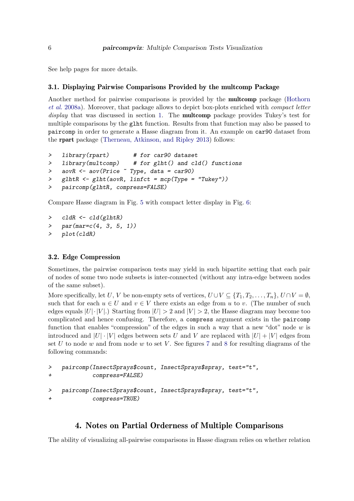See help pages for more details.

### 3.1. Displaying Pairwise Comparisons Provided by the multcomp Package

Another method for pairwise comparisons is provided by the multcomp package [\(Hothorn](#page-11-5) [et al.](#page-11-5) [2008a\)](#page-11-5). Moreover, that package allows to depict box-plots enriched with compact letter display that was discussed in section [1.](#page-0-0) The **multcomp** package provides Tukey's test for multiple comparisons by the glht function. Results from that function may also be passed to paircomp in order to generate a Hasse diagram from it. An example on car90 dataset from the rpart package [\(Therneau, Atkinson, and Ripley](#page-12-0) [2013\)](#page-12-0) follows:

```
> library(rpart) # for car90 dataset
> library(multcomp) # for glht() and cld() functions
> aovR <- aov(Price ~ Type, data = car90)
> glhtR <- glht(aovR, linfct = mcp(Type = "Tukey"))
> paircomp(glhtR, compress=FALSE)
```
Compare Hasse diagram in Fig. [5](#page-6-0) with compact letter display in Fig. [6:](#page-6-1)

```
> cldR <- cld(glhtR)
> par(max=c(4, 3, 5, 1))> plot(cldR)
```
#### <span id="page-5-0"></span>3.2. Edge Compression

Sometimes, the pairwise comparison tests may yield in such bipartite setting that each pair of nodes of some two node subsets is inter-connected (without any intra-edge between nodes of the same subset).

More specifically, let U, V be non-empty sets of vertices,  $U \cup V \subseteq \{T_1, T_2, \ldots, T_n\}$ ,  $U \cap V = \emptyset$ , such that for each  $u \in U$  and  $v \in V$  there exists an edge from u to v. (The number of such edges equals  $|U| \cdot |V|$ .) Starting from  $|U| > 2$  and  $|V| > 2$ , the Hasse diagram may become too complicated and hence confusing. Therefore, a compress argument exists in the paircomp function that enables "compression" of the edges in such a way that a new "dot" node  $w$  is introduced and  $|U| \cdot |V|$  edges between sets U and V are replaced with  $|U| + |V|$  edges from set U to node w and from node w to set V. See figures [7](#page-7-0) and [8](#page-7-1) for resulting diagrams of the following commands:

```
> paircomp(InsectSprays$count, InsectSprays$spray, test="t",
+ compress=FALSE)
```

```
> paircomp(InsectSprays$count, InsectSprays$spray, test="t",
+ compress=TRUE)
```
# 4. Notes on Partial Orderness of Multiple Comparisons

The ability of visualizing all-pairwise comparisons in Hasse diagram relies on whether relation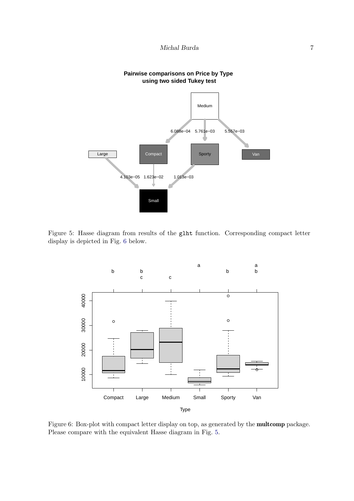

#### **Pairwise comparisons on Price by Type using two sided Tukey test**

Figure 5: Hasse diagram from results of the glht function. Corresponding compact letter display is depicted in Fig. [6](#page-6-1) below.

<span id="page-6-0"></span>

<span id="page-6-1"></span>Figure 6: Box-plot with compact letter display on top, as generated by the multcomp package. Please compare with the equivalent Hasse diagram in Fig. [5.](#page-6-0)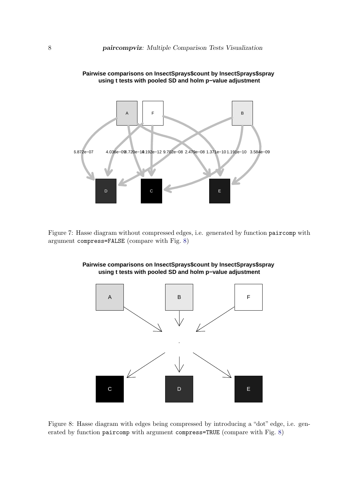

**Pairwise comparisons on InsectSprays\$count by InsectSprays\$spray using t tests with pooled SD and holm p−value adjustment**

<span id="page-7-0"></span>Figure 7: Hasse diagram without compressed edges, i.e. generated by function paircomp with argument compress=FALSE (compare with Fig. [8\)](#page-7-1)



**Pairwise comparisons on InsectSprays\$count by InsectSprays\$spray using t tests with pooled SD and holm p−value adjustment**

<span id="page-7-1"></span>Figure 8: Hasse diagram with edges being compressed by introducing a "dot" edge, i.e. generated by function paircomp with argument compress=TRUE (compare with Fig. [8\)](#page-7-1)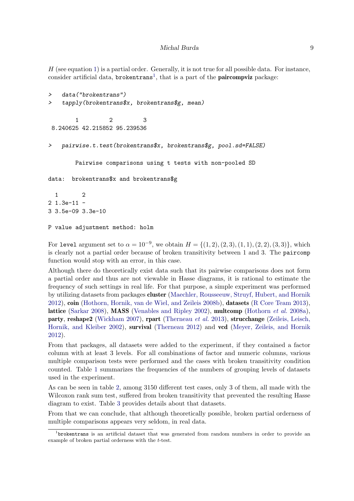$H$  (see equation [1\)](#page-3-0) is a partial order. Generally, it is not true for all possible data. For instance, consider artificial data,  $b$ rokentrans<sup>[1](#page-8-0)</sup>, that is a part of the **paircompviz** package:

```
> data("brokentrans")
> tapply(brokentrans$x, brokentrans$g, mean)
       1 2 3
8.240625 42.215852 95.239536
> pairwise.t.test(brokentrans$x, brokentrans$g, pool.sd=FALSE)
       Pairwise comparisons using t tests with non-pooled SD
data: brokentrans$x and brokentrans$g
```

```
1 2
2 1.3e-11 -
3 3.5e-09 3.3e-10
```
P value adjustment method: holm

For level argument set to  $\alpha = 10^{-9}$ , we obtain  $H = \{(1, 2), (2, 3), (1, 1), (2, 2), (3, 3)\}$ , which is clearly not a partial order because of broken transitivity between 1 and 3. The paircomp function would stop with an error, in this case.

Although there do theoretically exist data such that its pairwise comparisons does not form a partial order and thus are not viewable in Hasse diagrams, it is rational to estimate the frequency of such settings in real life. For that purpose, a simple experiment was performed by utilizing datasets from packages cluster [\(Maechler, Rousseeuw, Struyf, Hubert, and Hornik](#page-11-6) [2012\)](#page-11-6), coin [\(Hothorn, Hornik, van de Wiel, and Zeileis](#page-11-7) [2008b\)](#page-11-7), datasets [\(R Core Team](#page-12-1) [2013\)](#page-12-1), lattice [\(Sarkar](#page-12-2) [2008\)](#page-12-2), MASS [\(Venables and Ripley](#page-12-3) [2002\)](#page-12-3), multcomp [\(Hothorn](#page-11-5) *et al.* [2008a\)](#page-11-5), party, reshape2 [\(Wickham](#page-12-4) [2007\)](#page-12-4), rpart [\(Therneau](#page-12-0) et al. [2013\)](#page-12-0), strucchange [\(Zeileis, Leisch,](#page-12-5) [Hornik, and Kleiber](#page-12-5) [2002\)](#page-12-5), survival [\(Therneau](#page-12-6) [2012\)](#page-12-6) and vcd [\(Meyer, Zeileis, and Hornik](#page-11-8) [2012\)](#page-11-8).

From that packages, all datasets were added to the experiment, if they contained a factor column with at least 3 levels. For all combinations of factor and numeric columns, various multiple comparison tests were performed and the cases with broken transitivity condition counted. Table [1](#page-9-0) summarizes the frequencies of the numbers of grouping levels of datasets used in the experiment.

As can be seen in table [2,](#page-9-1) among 3150 different test cases, only 3 of them, all made with the Wilcoxon rank sum test, suffered from broken transitivity that prevented the resulting Hasse diagram to exist. Table [3](#page-9-2) provides details about that datasets.

From that we can conclude, that although theoretically possible, broken partial orderness of multiple comparisons appears very seldom, in real data.

<span id="page-8-0"></span><sup>&</sup>lt;sup>1</sup>brokentrans is an artificial dataset that was generated from random numbers in order to provide an example of broken partial orderness with the t-test.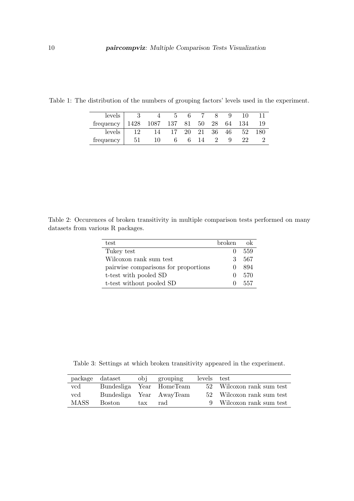<span id="page-9-0"></span>

| levels    |     |               | 6  |        |      |    |     |     |
|-----------|-----|---------------|----|--------|------|----|-----|-----|
| frequency |     | 1428 1087 137 | 81 | $50\,$ | 28   | 64 | 134 | 19  |
| levels    |     | 14            | 20 | 21     | - 36 | 46 | 52  | 180 |
| trequency | -51 |               | 6  |        |      |    |     |     |

Table 1: The distribution of the numbers of grouping factors' levels used in the experiment.

<span id="page-9-1"></span>Table 2: Occurences of broken transitivity in multiple comparison tests performed on many datasets from various R packages.

| test                                 | broken. |     |
|--------------------------------------|---------|-----|
| Tukey test                           |         | 559 |
| Wilcoxon rank sum test               | 3.      | 567 |
| pairwise comparisons for proportions |         | 894 |
| t-test with pooled SD                |         | 570 |
| t-test without pooled SD             |         | 557 |

<span id="page-9-2"></span>Table 3: Settings at which broken transitivity appeared in the experiment.

|             | package dataset |     | obi grouping             | levels test |                           |
|-------------|-----------------|-----|--------------------------|-------------|---------------------------|
| vcd         |                 |     | Bundesliga Year HomeTeam |             | 52 Wilcoxon rank sum test |
| $\rm vcd$   |                 |     | Bundesliga Year AwayTeam |             | 52 Wilcoxon rank sum test |
| <b>MASS</b> | Boston          | tax | rad                      |             | 9 Wilcoxon rank sum test  |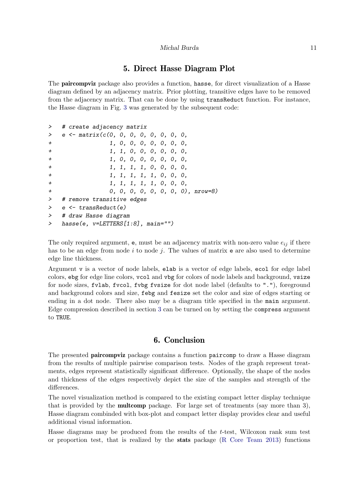#### Michal Burda 11

# 5. Direct Hasse Diagram Plot

The paircompviz package also provides a function, hasse, for direct visualization of a Hasse diagram defined by an adjacency matrix. Prior plotting, transitive edges have to be removed from the adjacency matrix. That can be done by using transReduct function. For instance, the Hasse diagram in Fig. [3](#page-2-0) was generated by the subsequent code:

```
> # create adjacency matrix
> e \leq matrix(c(0, 0, 0, 0, 0, 0, 0, 0,
+ 1, 0, 0, 0, 0, 0, 0, 0,
+ 1, 1, 0, 0, 0, 0, 0, 0,
+ 1, 0, 0, 0, 0, 0, 0, 0,
+ 1, 1, 1, 1, 0, 0, 0, 0,
+ 1, 1, 1, 1, 1, 0, 0, 0,
+ 1, 1, 1, 1, 1, 0, 0, 0,
+ 0, 0, 0, 0, 0, 0, 0, 0), nrow=8)
> # remove transitive edges
> e <- transReduct(e)
> # draw Hasse diagram
> hasse(e, v=LETTERS[1:8], main="")
```
The only required argument,  $e$ , must be an adjacency matrix with non-zero value  $e_{ij}$  if there has to be an edge from node i to node j. The values of matrix  $e$  are also used to determine edge line thickness.

Argument v is a vector of node labels, elab is a vector of edge labels, ecol for edge label colors, ebg for edge line colors, vcol and vbg for colors of node labels and background, vsize for node sizes, fvlab, fvcol, fvbg fvsize for dot node label (defaults to "."), foreground and background colors and size, febg and fesize set the color and size of edges starting or ending in a dot node. There also may be a diagram title specified in the main argument. Edge compression described in section [3](#page-2-1) can be turned on by setting the compress argument to TRUE.

## 6. Conclusion

The presented paircompviz package contains a function paircomp to draw a Hasse diagram from the results of multiple pairwise comparison tests. Nodes of the graph represent treatments, edges represent statistically significant difference. Optionally, the shape of the nodes and thickness of the edges respectively depict the size of the samples and strength of the differences.

The novel visualization method is compared to the existing compact letter display technique that is provided by the multcomp package. For large set of treatments (say more than 3), Hasse diagram combinded with box-plot and compact letter display provides clear and useful additional visual information.

Hasse diagrams may be produced from the results of the t-test, Wilcoxon rank sum test or proportion test, that is realized by the stats package [\(R Core Team](#page-12-1) [2013\)](#page-12-1) functions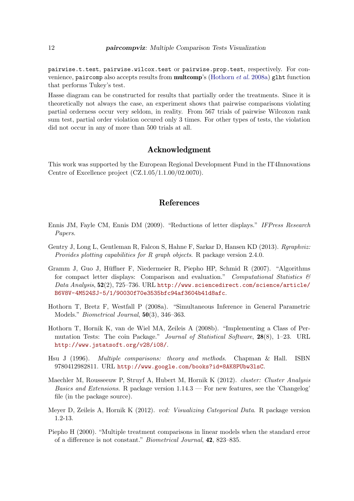pairwise.t.test, pairwise.wilcox.test or pairwise.prop.test, respectively. For convenience, paircomp also accepts results from **multcomp**'s [\(Hothorn](#page-11-5) *et al.* [2008a\)](#page-11-5) glht function that performs Tukey's test.

Hasse diagram can be constructed for results that partially order the treatments. Since it is theoretically not always the case, an experiment shows that pairwise comparisons violating partial orderness occur very seldom, in reality. From 567 trials of pairwise Wilcoxon rank sum test, partial order violation occured only 3 times. For other types of tests, the violation did not occur in any of more than 500 trials at all.

### Acknowledgment

This work was supported by the European Regional Development Fund in the IT4Innovations Centre of Excellence project (CZ.1.05/1.1.00/02.0070).

# References

- <span id="page-11-2"></span>Ennis JM, Fayle CM, Ennis DM (2009). "Reductions of letter displays." IFPress Research Papers.
- <span id="page-11-4"></span>Gentry J, Long L, Gentleman R, Falcon S, Hahne F, Sarkar D, Hansen KD (2013). Raraphviz: Provides plotting capabilities for R graph objects. R package version 2.4.0.
- <span id="page-11-1"></span>Gramm J, Guo J, Huffner F, Niedermeier R, Piepho HP, Schmid R (2007). "Algorithms ¨ for compact letter displays: Comparison and evaluation." Computational Statistics  $\mathcal{C}$ Data Analysis, 52(2), 725–736. URL [http://www.sciencedirect.com/science/article/](http://www.sciencedirect.com/science/article/B6V8V-4M524SJ-5/1/90030f70e3535bfc94af3604b41d8afc) [B6V8V-4M524SJ-5/1/90030f70e3535bfc94af3604b41d8afc](http://www.sciencedirect.com/science/article/B6V8V-4M524SJ-5/1/90030f70e3535bfc94af3604b41d8afc).
- <span id="page-11-5"></span>Hothorn T, Bretz F, Westfall P (2008a). "Simultaneous Inference in General Parametric Models." Biometrical Journal, 50(3), 346–363.
- <span id="page-11-7"></span>Hothorn T, Hornik K, van de Wiel MA, Zeileis A (2008b). "Implementing a Class of Permutation Tests: The coin Package." Journal of Statistical Software, 28(8), 1–23. URL <http://www.jstatsoft.org/v28/i08/>.
- <span id="page-11-0"></span>Hsu J (1996). Multiple comparisons: theory and methods. Chapman & Hall. ISBN 9780412982811. URL <http://www.google.com/books?id=8AK8PUbw3lsC>.
- <span id="page-11-6"></span>Maechler M, Rousseeuw P, Struyf A, Hubert M, Hornik K (2012). cluster: Cluster Analysis *Basics and Extensions.* R package version  $1.14.3$  — For new features, see the 'Changelog' file (in the package source).
- <span id="page-11-8"></span>Meyer D, Zeileis A, Hornik K (2012). vcd: Visualizing Categorical Data. R package version 1.2-13.
- <span id="page-11-3"></span>Piepho H (2000). "Multiple treatment comparisons in linear models when the standard error of a difference is not constant." Biometrical Journal, 42, 823–835.